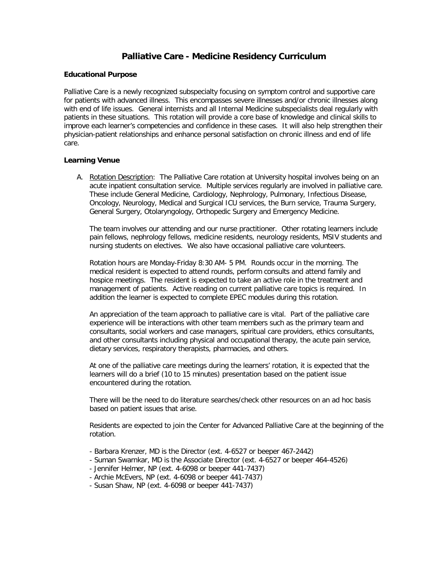# **Palliative Care - Medicine Residency Curriculum**

## **Educational Purpose**

Palliative Care is a newly recognized subspecialty focusing on symptom control and supportive care for patients with advanced illness. This encompasses severe illnesses and/or chronic illnesses along with end of life issues. General internists and all Internal Medicine subspecialists deal regularly with patients in these situations. This rotation will provide a core base of knowledge and clinical skills to improve each learner's competencies and confidence in these cases. It will also help strengthen their physician-patient relationships and enhance personal satisfaction on chronic illness and end of life care.

## **Learning Venue**

A. Rotation Description: The Palliative Care rotation at University hospital involves being on an acute inpatient consultation service. Multiple services regularly are involved in palliative care. These include General Medicine, Cardiology, Nephrology, Pulmonary, Infectious Disease, Oncology, Neurology, Medical and Surgical ICU services, the Burn service, Trauma Surgery, General Surgery, Otolaryngology, Orthopedic Surgery and Emergency Medicine.

The team involves our attending and our nurse practitioner. Other rotating learners include pain fellows, nephrology fellows, medicine residents, neurology residents, MSIV students and nursing students on electives. We also have occasional palliative care volunteers.

Rotation hours are Monday-Friday 8:30 AM- 5 PM. Rounds occur in the morning. The medical resident is expected to attend rounds, perform consults and attend family and hospice meetings. The resident is expected to take an active role in the treatment and management of patients. Active reading on current palliative care topics is required. In addition the learner is expected to complete EPEC modules during this rotation.

An appreciation of the team approach to palliative care is vital. Part of the palliative care experience will be interactions with other team members such as the primary team and consultants, social workers and case managers, spiritual care providers, ethics consultants, and other consultants including physical and occupational therapy, the acute pain service, dietary services, respiratory therapists, pharmacies, and others.

At one of the palliative care meetings during the learners' rotation, it is expected that the learners will do a brief (10 to 15 minutes) presentation based on the patient issue encountered during the rotation.

There will be the need to do literature searches/check other resources on an ad hoc basis based on patient issues that arise.

Residents are expected to join the Center for Advanced Palliative Care at the beginning of the rotation.

- Barbara Krenzer, MD is the Director (ext. 4-6527 or beeper 467-2442)
- Suman Swarnkar, MD is the Associate Director (ext. 4-6527 or beeper 464-4526)
- Jennifer Helmer, NP (ext. 4-6098 or beeper 441-7437)
- Archie McEvers, NP (ext. 4-6098 or beeper 441-7437)
- Susan Shaw, NP (ext. 4-6098 or beeper 441-7437)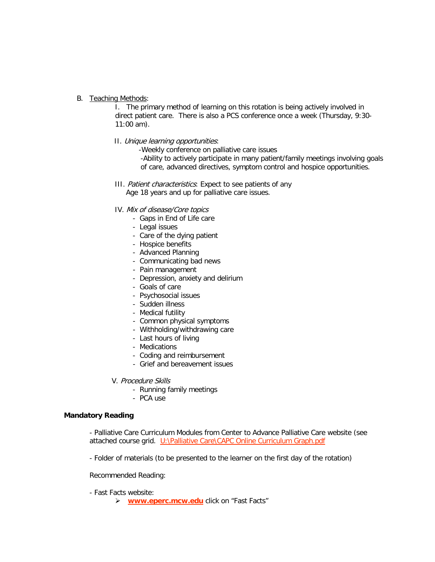### B. Teaching Methods:

I. The primary method of learning on this rotation is being actively involved in direct patient care. There is also a PCS conference once a week (Thursday, 9:30- 11:00 am).

II. Unique learning opportunities:

-Weekly conference on palliative care issues

-Ability to actively participate in many patient/family meetings involving goals of care, advanced directives, symptom control and hospice opportunities.

- III. Patient characteristics: Expect to see patients of any Age 18 years and up for palliative care issues.
- IV. Mix of disease/Core topics
	- Gaps in End of Life care
	- Legal issues
	- Care of the dying patient
	- Hospice benefits
	- Advanced Planning
	- Communicating bad news
	- Pain management
	- Depression, anxiety and delirium
	- Goals of care
	- Psychosocial issues
	- Sudden illness
	- Medical futility
	- Common physical symptoms
	- Withholding/withdrawing care
	- Last hours of living
	- Medications
	- Coding and reimbursement
	- Grief and bereavement issues
- V. Procedure Skills
	- Running family meetings
	- PCA use

## **Mandatory Reading**

- Palliative Care Curriculum Modules from Center to Advance Palliative Care website (see attached course grid. U:\Palliative Care\CAPC Online Curriculum Graph.pdf

- Folder of materials (to be presented to the learner on the first day of the rotation)

Recommended Reading:

- Fast Facts website:
	- **[www.eperc.mcw.edu](http://www.eperc.mcw.edu/)** click on "Fast Facts"